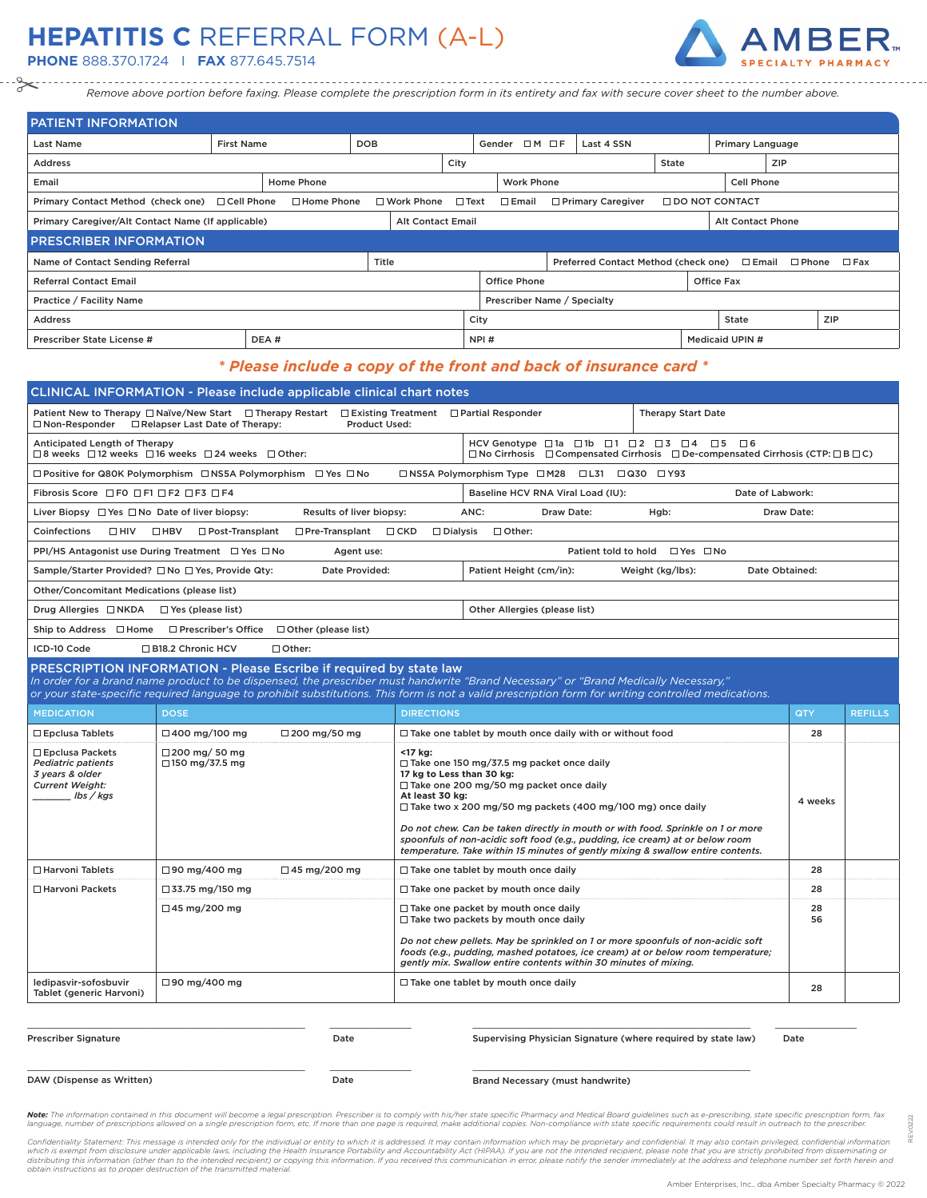## **HEPATITIS C** REFERRAL FORM (A-L)

**PHONE** 888.370.1724 I **FAX** 877.645.7514



*Remove above portion before faxing. Please complete the prescription form in its entirety and fax with secure cover sheet to the number above.*

| <b>PATIENT INFORMATION</b>                              |                                                                                                            |                   |            |                   |                |                                |                        |  |                                      |       |                       |                   |                                 |               |
|---------------------------------------------------------|------------------------------------------------------------------------------------------------------------|-------------------|------------|-------------------|----------------|--------------------------------|------------------------|--|--------------------------------------|-------|-----------------------|-------------------|---------------------------------|---------------|
| Last Name                                               | <b>First Name</b>                                                                                          |                   | <b>DOB</b> |                   |                |                                | Gender $\Box M \Box F$ |  | Last 4 SSN                           |       | Primary Language      |                   |                                 |               |
| <b>Address</b>                                          |                                                                                                            |                   |            |                   | City           |                                |                        |  |                                      | State | <b>ZIP</b>            |                   |                                 |               |
| Email                                                   |                                                                                                            | Home Phone        |            |                   |                |                                | <b>Work Phone</b>      |  |                                      |       |                       | <b>Cell Phone</b> |                                 |               |
| Primary Contact Method (check one) □ Cell Phone         |                                                                                                            | $\Box$ Home Phone |            | $\Box$ Work Phone | $\square$ Text |                                | $\square$ Email        |  | □ Primary Caregiver                  |       | $\Box$ DO NOT CONTACT |                   |                                 |               |
|                                                         | Primary Caregiver/Alt Contact Name (If applicable)<br><b>Alt Contact Email</b><br><b>Alt Contact Phone</b> |                   |            |                   |                |                                |                        |  |                                      |       |                       |                   |                                 |               |
| <b>PRESCRIBER INFORMATION</b>                           |                                                                                                            |                   |            |                   |                |                                |                        |  |                                      |       |                       |                   |                                 |               |
| Name of Contact Sending Referral                        |                                                                                                            |                   | Title      |                   |                |                                |                        |  | Preferred Contact Method (check one) |       |                       |                   | $\square$ Email $\square$ Phone | $\square$ Fax |
| <b>Referral Contact Email</b>                           | <b>Office Phone</b><br><b>Office Fax</b>                                                                   |                   |            |                   |                |                                |                        |  |                                      |       |                       |                   |                                 |               |
| Practice / Facility Name<br>Prescriber Name / Specialty |                                                                                                            |                   |            |                   |                |                                |                        |  |                                      |       |                       |                   |                                 |               |
| <b>Address</b>                                          |                                                                                                            |                   |            |                   |                | City<br>State                  |                        |  |                                      |       | ZIP                   |                   |                                 |               |
| Prescriber State License #                              |                                                                                                            | DEA#              |            |                   |                | NPI#<br><b>Medicaid UPIN #</b> |                        |  |                                      |       |                       |                   |                                 |               |

## *\* Please include a copy of the front and back of insurance card \**

|                                                                                                                                                                                                                                                                                                                                                                | <b>CLINICAL INFORMATION - Please include applicable clinical chart notes</b>                                                                             |                                                         |                                                                                                                                                                                                                                                                                                                                                                                                                           |                                    |          |                |  |  |  |
|----------------------------------------------------------------------------------------------------------------------------------------------------------------------------------------------------------------------------------------------------------------------------------------------------------------------------------------------------------------|----------------------------------------------------------------------------------------------------------------------------------------------------------|---------------------------------------------------------|---------------------------------------------------------------------------------------------------------------------------------------------------------------------------------------------------------------------------------------------------------------------------------------------------------------------------------------------------------------------------------------------------------------------------|------------------------------------|----------|----------------|--|--|--|
|                                                                                                                                                                                                                                                                                                                                                                | Patient New to Therapy □ Naïve/New Start □ Therapy Restart □ Existing Treatment □ Partial Responder<br><b>Therapy Start Date</b><br><b>Product Used:</b> |                                                         |                                                                                                                                                                                                                                                                                                                                                                                                                           |                                    |          |                |  |  |  |
| $\Box$ Non-Responder $\Box$ Relapser Last Date of Therapy:                                                                                                                                                                                                                                                                                                     |                                                                                                                                                          |                                                         |                                                                                                                                                                                                                                                                                                                                                                                                                           |                                    |          |                |  |  |  |
| HCV Genotype $\Box$ 1a $\Box$ 1b $\Box$ 1 $\Box$ 2 $\Box$ 3 $\Box$ 4 $\Box$ 5 $\Box$ 6<br>Anticipated Length of Therapy<br>□8 weeks □12 weeks □16 weeks □24 weeks □Other:<br>$\square$ No Cirrhosis $\square$ Compensated Cirrhosis $\square$ De-compensated Cirrhosis (CTP: $\square$ B $\square$ C)                                                          |                                                                                                                                                          |                                                         |                                                                                                                                                                                                                                                                                                                                                                                                                           |                                    |          |                |  |  |  |
|                                                                                                                                                                                                                                                                                                                                                                | $\Box$ Positive for Q80K Polymorphism $\Box$ NS5A Polymorphism $\Box$ Yes $\Box$ No                                                                      |                                                         | □ NS5A Polymorphism Type □ M28 □ L31 □ Q30 □ Y93                                                                                                                                                                                                                                                                                                                                                                          |                                    |          |                |  |  |  |
| Fibrosis Score □ F0 □ F1 □ F2 □ F3 □ F4<br>Date of Labwork:<br>Baseline HCV RNA Viral Load (IU):                                                                                                                                                                                                                                                               |                                                                                                                                                          |                                                         |                                                                                                                                                                                                                                                                                                                                                                                                                           |                                    |          |                |  |  |  |
| Liver Biopsy $\Box$ Yes $\Box$ No Date of liver biopsy:<br>Results of liver biopsy:<br>ANC:<br>Draw Date:<br>Hgb:<br>Draw Date:                                                                                                                                                                                                                                |                                                                                                                                                          |                                                         |                                                                                                                                                                                                                                                                                                                                                                                                                           |                                    |          |                |  |  |  |
| Coinfections<br>$\Box$ HIV                                                                                                                                                                                                                                                                                                                                     | $\Box$ HBV<br>□ Pre-Transplant<br>$\Box$ Dialysis<br>$\Box$ Other:<br>$\Box$ Post-Transplant<br>$\Box$ CKD                                               |                                                         |                                                                                                                                                                                                                                                                                                                                                                                                                           |                                    |          |                |  |  |  |
|                                                                                                                                                                                                                                                                                                                                                                | PPI/HS Antagonist use During Treatment □ Yes □ No<br>Patient told to hold $\Box$ Yes $\Box$ No<br>Agent use:                                             |                                                         |                                                                                                                                                                                                                                                                                                                                                                                                                           |                                    |          |                |  |  |  |
|                                                                                                                                                                                                                                                                                                                                                                | Sample/Starter Provided? □ No □ Yes, Provide Qty:<br>Date Provided:                                                                                      |                                                         | Patient Height (cm/in):                                                                                                                                                                                                                                                                                                                                                                                                   | Weight (kg/lbs):<br>Date Obtained: |          |                |  |  |  |
| Other/Concomitant Medications (please list)                                                                                                                                                                                                                                                                                                                    |                                                                                                                                                          |                                                         |                                                                                                                                                                                                                                                                                                                                                                                                                           |                                    |          |                |  |  |  |
| Drug Allergies □ NKDA                                                                                                                                                                                                                                                                                                                                          | $\Box$ Yes (please list)                                                                                                                                 |                                                         | Other Allergies (please list)                                                                                                                                                                                                                                                                                                                                                                                             |                                    |          |                |  |  |  |
| Ship to Address □ Home                                                                                                                                                                                                                                                                                                                                         | $\Box$ Prescriber's Office $\Box$ Other (please list)                                                                                                    |                                                         |                                                                                                                                                                                                                                                                                                                                                                                                                           |                                    |          |                |  |  |  |
| ICD-10 Code                                                                                                                                                                                                                                                                                                                                                    | □ B18.2 Chronic HCV<br>□ Other:                                                                                                                          |                                                         |                                                                                                                                                                                                                                                                                                                                                                                                                           |                                    |          |                |  |  |  |
| PRESCRIPTION INFORMATION - Please Escribe if required by state law<br>In order for a brand name product to be dispensed, the prescriber must handwrite "Brand Necessary" or "Brand Medically Necessary."<br>or your state-specific required language to prohibit substitutions. This form is not a valid prescription form for writing controlled medications. |                                                                                                                                                          |                                                         |                                                                                                                                                                                                                                                                                                                                                                                                                           |                                    |          |                |  |  |  |
| <b>MEDICATION</b>                                                                                                                                                                                                                                                                                                                                              | <b>DOSE</b>                                                                                                                                              | <b>DIRECTIONS</b>                                       |                                                                                                                                                                                                                                                                                                                                                                                                                           |                                    | QTY      | <b>REFILLS</b> |  |  |  |
| $\Box$ Epclusa Tablets                                                                                                                                                                                                                                                                                                                                         | $\Box$ 400 mg/100 mg<br>$\Box$ 200 mg/50 mg                                                                                                              |                                                         | $\Box$ Take one tablet by mouth once daily with or without food                                                                                                                                                                                                                                                                                                                                                           |                                    | 28       |                |  |  |  |
| □ Epclusa Packets<br><b>Pediatric patients</b><br>3 years & older<br><b>Current Weight:</b><br>lbs / kas                                                                                                                                                                                                                                                       | $\Box$ 200 mg/ 50 mg<br>$\Box$ 150 mg/37.5 mg                                                                                                            | <17 kg:<br>17 kg to Less than 30 kg:<br>At least 30 kg: | $\Box$ Take one 150 mg/37.5 mg packet once daily<br>□ Take one 200 mg/50 mg packet once daily<br>$\Box$ Take two x 200 mg/50 mg packets (400 mg/100 mg) once daily<br>Do not chew. Can be taken directly in mouth or with food. Sprinkle on 1 or more<br>spoonfuls of non-acidic soft food (e.g., pudding, ice cream) at or below room<br>temperature. Take within 15 minutes of gently mixing & swallow entire contents. |                                    | 4 weeks  |                |  |  |  |
| □ Harvoni Tablets                                                                                                                                                                                                                                                                                                                                              | $\Box$ 90 mg/400 mg<br>$\Box$ 45 mg/200 mg                                                                                                               |                                                         | $\Box$ Take one tablet by mouth once daily                                                                                                                                                                                                                                                                                                                                                                                |                                    | 28       |                |  |  |  |
| $\Box$ Harvoni Packets                                                                                                                                                                                                                                                                                                                                         | $\Box$ 33.75 mg/150 mg                                                                                                                                   |                                                         | $\Box$ Take one packet by mouth once daily                                                                                                                                                                                                                                                                                                                                                                                |                                    | 28       |                |  |  |  |
|                                                                                                                                                                                                                                                                                                                                                                | $\Box$ 45 mg/200 mg                                                                                                                                      |                                                         | $\Box$ Take one packet by mouth once daily<br>$\Box$ Take two packets by mouth once daily<br>Do not chew pellets. May be sprinkled on 1 or more spoonfuls of non-acidic soft<br>foods (e.g., pudding, mashed potatoes, ice cream) at or below room temperature;<br>gently mix. Swallow entire contents within 30 minutes of mixing.                                                                                       |                                    | 28<br>56 |                |  |  |  |
| ledipasvir-sofosbuvir<br>Tablet (generic Harvoni)                                                                                                                                                                                                                                                                                                              | $\Box$ 90 mg/400 mg                                                                                                                                      |                                                         | $\Box$ Take one tablet by mouth once daily                                                                                                                                                                                                                                                                                                                                                                                |                                    | 28       |                |  |  |  |
| <b>Prescriber Signature</b>                                                                                                                                                                                                                                                                                                                                    | Date                                                                                                                                                     |                                                         | Supervising Physician Signature (where required by state law)                                                                                                                                                                                                                                                                                                                                                             |                                    | Date     |                |  |  |  |

Supervising Physician Signature (where required by state law) Date \_\_\_\_\_\_\_\_\_\_\_\_\_\_\_\_\_\_\_\_\_\_\_\_\_\_\_\_\_\_\_\_\_\_

REV.0222

 $222$ é

DAW (Dispense as Written) Date

Brand Necessary (must handwrite)

Note: The information contained in this document will become a legal prescription. Prescriber is to comply with his/her state specific Pharmacy and Medical Board guidelines such as e-prescribing, state specific prescriptio language, number of prescriptions allowed on a single prescription form, etc. If more than one page is required, make additional copies. Non-compliance with state specific requirements could result in outreach to the presc

Confidentiality Statement: This message is intended only for the individual or entity to which it is addressed. It may contain information which may be proprietary and confidential. It may also contain privileged, confiden *obtain instructions as to proper destruction of the transmitted material.*